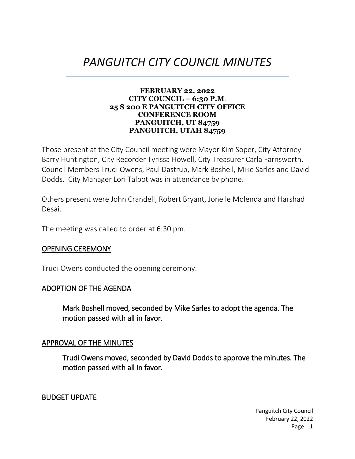# *PANGUITCH CITY COUNCIL MINUTES*

#### **FEBRUARY 22, 2022 CITY COUNCIL – 6:30 P.M**. **25 S 200 E PANGUITCH CITY OFFICE CONFERENCE ROOM PANGUITCH, UT 84759 PANGUITCH, UTAH 84759**

Those present at the City Council meeting were Mayor Kim Soper, City Attorney Barry Huntington, City Recorder Tyrissa Howell, City Treasurer Carla Farnsworth, Council Members Trudi Owens, Paul Dastrup, Mark Boshell, Mike Sarles and David Dodds. City Manager Lori Talbot was in attendance by phone.

Others present were John Crandell, Robert Bryant, Jonelle Molenda and Harshad Desai.

The meeting was called to order at 6:30 pm.

### OPENING CEREMONY

Trudi Owens conducted the opening ceremony.

### ADOPTION OF THE AGENDA

Mark Boshell moved, seconded by Mike Sarles to adopt the agenda. The motion passed with all in favor.

#### APPROVAL OF THE MINUTES

Trudi Owens moved, seconded by David Dodds to approve the minutes. The motion passed with all in favor.

#### BUDGET UPDATE

Panguitch City Council February 22, 2022 Page | 1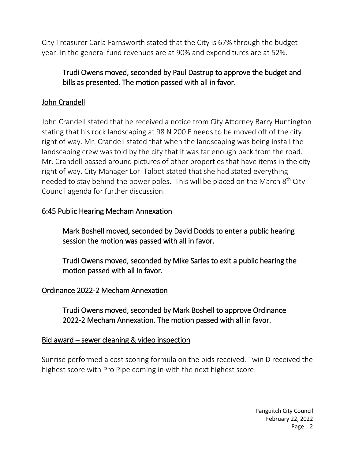City Treasurer Carla Farnsworth stated that the City is 67% through the budget year. In the general fund revenues are at 90% and expenditures are at 52%.

# Trudi Owens moved, seconded by Paul Dastrup to approve the budget and bills as presented. The motion passed with all in favor.

# John Crandell

John Crandell stated that he received a notice from City Attorney Barry Huntington stating that his rock landscaping at 98 N 200 E needs to be moved off of the city right of way. Mr. Crandell stated that when the landscaping was being install the landscaping crew was told by the city that it was far enough back from the road. Mr. Crandell passed around pictures of other properties that have items in the city right of way. City Manager Lori Talbot stated that she had stated everything needed to stay behind the power poles. This will be placed on the March  $8<sup>th</sup>$  City Council agenda for further discussion.

### 6:45 Public Hearing Mecham Annexation

Mark Boshell moved, seconded by David Dodds to enter a public hearing session the motion was passed with all in favor.

Trudi Owens moved, seconded by Mike Sarles to exit a public hearing the motion passed with all in favor.

# Ordinance 2022-2 Mecham Annexation

 Trudi Owens moved, seconded by Mark Boshell to approve Ordinance 2022-2 Mecham Annexation. The motion passed with all in favor.

### Bid award – sewer cleaning & video inspection

Sunrise performed a cost scoring formula on the bids received. Twin D received the highest score with Pro Pipe coming in with the next highest score.